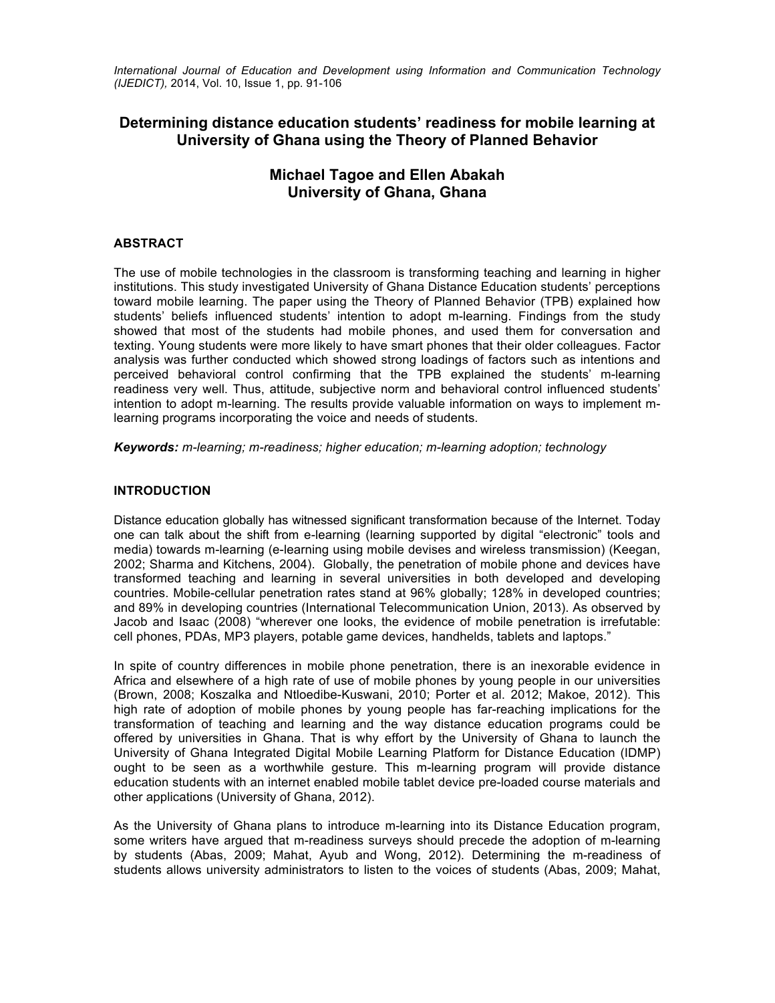*International Journal of Education and Development using Information and Communication Technology (IJEDICT),* 2014, Vol. 10, Issue 1, pp. 91-106

# **Determining distance education students' readiness for mobile learning at University of Ghana using the Theory of Planned Behavior**

# **Michael Tagoe and Ellen Abakah University of Ghana, Ghana**

## **ABSTRACT**

The use of mobile technologies in the classroom is transforming teaching and learning in higher institutions. This study investigated University of Ghana Distance Education students' perceptions toward mobile learning. The paper using the Theory of Planned Behavior (TPB) explained how students' beliefs influenced students' intention to adopt m-learning. Findings from the study showed that most of the students had mobile phones, and used them for conversation and texting. Young students were more likely to have smart phones that their older colleagues. Factor analysis was further conducted which showed strong loadings of factors such as intentions and perceived behavioral control confirming that the TPB explained the students' m-learning readiness very well. Thus, attitude, subjective norm and behavioral control influenced students' intention to adopt m-learning. The results provide valuable information on ways to implement mlearning programs incorporating the voice and needs of students.

*Keywords: m-learning; m-readiness; higher education; m-learning adoption; technology*

## **INTRODUCTION**

Distance education globally has witnessed significant transformation because of the Internet. Today one can talk about the shift from e-learning (learning supported by digital "electronic" tools and media) towards m-learning (e-learning using mobile devises and wireless transmission) (Keegan, 2002; Sharma and Kitchens, 2004). Globally, the penetration of mobile phone and devices have transformed teaching and learning in several universities in both developed and developing countries. Mobile-cellular penetration rates stand at 96% globally; 128% in developed countries; and 89% in developing countries (International Telecommunication Union, 2013). As observed by Jacob and Isaac (2008) "wherever one looks, the evidence of mobile penetration is irrefutable: cell phones, PDAs, MP3 players, potable game devices, handhelds, tablets and laptops."

In spite of country differences in mobile phone penetration, there is an inexorable evidence in Africa and elsewhere of a high rate of use of mobile phones by young people in our universities (Brown, 2008; Koszalka and Ntloedibe-Kuswani, 2010; Porter et al. 2012; Makoe, 2012). This high rate of adoption of mobile phones by young people has far-reaching implications for the transformation of teaching and learning and the way distance education programs could be offered by universities in Ghana. That is why effort by the University of Ghana to launch the University of Ghana Integrated Digital Mobile Learning Platform for Distance Education (IDMP) ought to be seen as a worthwhile gesture. This m-learning program will provide distance education students with an internet enabled mobile tablet device pre-loaded course materials and other applications (University of Ghana, 2012).

As the University of Ghana plans to introduce m-learning into its Distance Education program, some writers have argued that m-readiness surveys should precede the adoption of m-learning by students (Abas, 2009; Mahat, Ayub and Wong, 2012). Determining the m-readiness of students allows university administrators to listen to the voices of students (Abas, 2009; Mahat,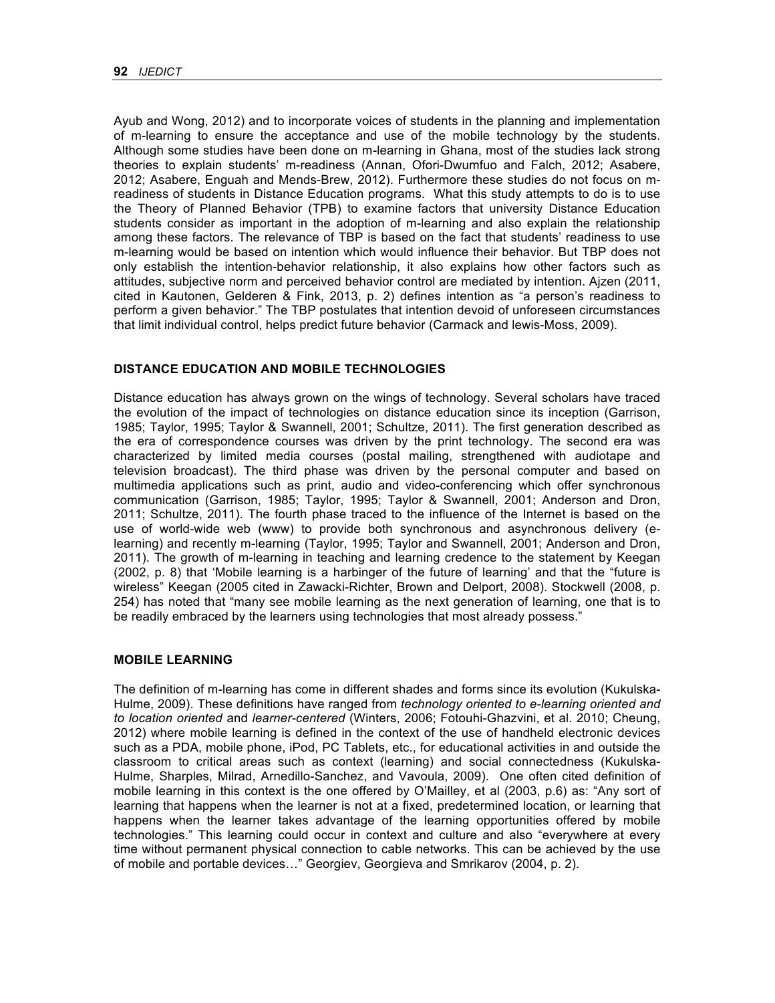Ayub and Wong, 2012) and to incorporate voices of students in the planning and implementation of m-learning to ensure the acceptance and use of the mobile technology by the students. Although some studies have been done on m-learning in Ghana, most of the studies lack strong theories to explain students' m-readiness (Annan, Ofori-Dwumfuo and Falch, 2012; Asabere, 2012; Asabere, Enguah and Mends-Brew, 2012). Furthermore these studies do not focus on mreadiness of students in Distance Education programs. What this study attempts to do is to use the Theory of Planned Behavior (TPB) to examine factors that university Distance Education students consider as important in the adoption of m-learning and also explain the relationship among these factors. The relevance of TBP is based on the fact that students' readiness to use m-learning would be based on intention which would influence their behavior. But TBP does not only establish the intention-behavior relationship, it also explains how other factors such as attitudes, subjective norm and perceived behavior control are mediated by intention. Ajzen (2011, cited in Kautonen, Gelderen & Fink, 2013, p. 2) defines intention as "a person's readiness to perform a given behavior." The TBP postulates that intention devoid of unforeseen circumstances that limit individual control, helps predict future behavior (Carmack and lewis-Moss, 2009).

## **DISTANCE EDUCATION AND MOBILE TECHNOLOGIES**

Distance education has always grown on the wings of technology. Several scholars have traced the evolution of the impact of technologies on distance education since its inception (Garrison, 1985; Taylor, 1995; Taylor & Swannell, 2001; Schultze, 2011). The first generation described as the era of correspondence courses was driven by the print technology. The second era was characterized by limited media courses (postal mailing, strengthened with audiotape and television broadcast). The third phase was driven by the personal computer and based on multimedia applications such as print, audio and video-conferencing which offer synchronous communication (Garrison, 1985; Taylor, 1995; Taylor & Swannell, 2001; Anderson and Dron, 2011; Schultze, 2011). The fourth phase traced to the influence of the Internet is based on the use of world-wide web (www) to provide both synchronous and asynchronous delivery (elearning) and recently m-learning (Taylor, 1995; Taylor and Swannell, 2001; Anderson and Dron, 2011). The growth of m-learning in teaching and learning credence to the statement by Keegan (2002, p. 8) that 'Mobile learning is a harbinger of the future of learning' and that the "future is wireless" Keegan (2005 cited in Zawacki-Richter, Brown and Delport, 2008). Stockwell (2008, p. 254) has noted that "many see mobile learning as the next generation of learning, one that is to be readily embraced by the learners using technologies that most already possess."

#### **MOBILE LEARNING**

The definition of m-learning has come in different shades and forms since its evolution (Kukulska-Hulme, 2009). These definitions have ranged from *technology oriented to e-learning oriented and to location oriented* and *learner-centered* (Winters, 2006; Fotouhi-Ghazvini, et al. 2010; Cheung, 2012) where mobile learning is defined in the context of the use of handheld electronic devices such as a PDA, mobile phone, iPod, PC Tablets, etc., for educational activities in and outside the classroom to critical areas such as context (learning) and social connectedness (Kukulska-Hulme, Sharples, Milrad, Arnedillo-Sanchez, and Vavoula, 2009). One often cited definition of mobile learning in this context is the one offered by O'Mailley, et al (2003, p.6) as: "Any sort of learning that happens when the learner is not at a fixed, predetermined location, or learning that happens when the learner takes advantage of the learning opportunities offered by mobile technologies." This learning could occur in context and culture and also "everywhere at every time without permanent physical connection to cable networks. This can be achieved by the use of mobile and portable devices…" Georgiev, Georgieva and Smrikarov (2004, p. 2).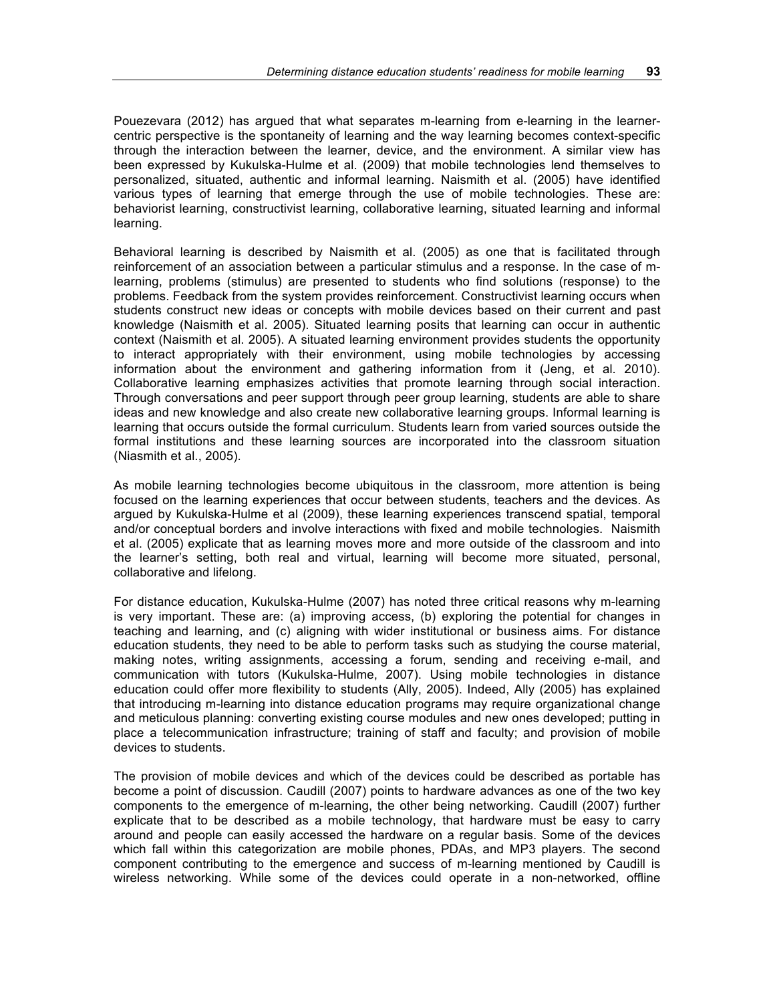Pouezevara (2012) has argued that what separates m-learning from e-learning in the learnercentric perspective is the spontaneity of learning and the way learning becomes context-specific through the interaction between the learner, device, and the environment. A similar view has been expressed by Kukulska-Hulme et al. (2009) that mobile technologies lend themselves to personalized, situated, authentic and informal learning. Naismith et al. (2005) have identified various types of learning that emerge through the use of mobile technologies. These are: behaviorist learning, constructivist learning, collaborative learning, situated learning and informal learning.

Behavioral learning is described by Naismith et al. (2005) as one that is facilitated through reinforcement of an association between a particular stimulus and a response. In the case of mlearning, problems (stimulus) are presented to students who find solutions (response) to the problems. Feedback from the system provides reinforcement. Constructivist learning occurs when students construct new ideas or concepts with mobile devices based on their current and past knowledge (Naismith et al. 2005). Situated learning posits that learning can occur in authentic context (Naismith et al. 2005). A situated learning environment provides students the opportunity to interact appropriately with their environment, using mobile technologies by accessing information about the environment and gathering information from it (Jeng, et al. 2010). Collaborative learning emphasizes activities that promote learning through social interaction. Through conversations and peer support through peer group learning, students are able to share ideas and new knowledge and also create new collaborative learning groups. Informal learning is learning that occurs outside the formal curriculum. Students learn from varied sources outside the formal institutions and these learning sources are incorporated into the classroom situation (Niasmith et al., 2005).

As mobile learning technologies become ubiquitous in the classroom, more attention is being focused on the learning experiences that occur between students, teachers and the devices. As argued by Kukulska-Hulme et al (2009), these learning experiences transcend spatial, temporal and/or conceptual borders and involve interactions with fixed and mobile technologies. Naismith et al. (2005) explicate that as learning moves more and more outside of the classroom and into the learner's setting, both real and virtual, learning will become more situated, personal, collaborative and lifelong.

For distance education, Kukulska-Hulme (2007) has noted three critical reasons why m-learning is very important. These are: (a) improving access, (b) exploring the potential for changes in teaching and learning, and (c) aligning with wider institutional or business aims. For distance education students, they need to be able to perform tasks such as studying the course material, making notes, writing assignments, accessing a forum, sending and receiving e-mail, and communication with tutors (Kukulska-Hulme, 2007). Using mobile technologies in distance education could offer more flexibility to students (Ally, 2005). Indeed, Ally (2005) has explained that introducing m-learning into distance education programs may require organizational change and meticulous planning: converting existing course modules and new ones developed; putting in place a telecommunication infrastructure; training of staff and faculty; and provision of mobile devices to students.

The provision of mobile devices and which of the devices could be described as portable has become a point of discussion. Caudill (2007) points to hardware advances as one of the two key components to the emergence of m-learning, the other being networking. Caudill (2007) further explicate that to be described as a mobile technology, that hardware must be easy to carry around and people can easily accessed the hardware on a regular basis. Some of the devices which fall within this categorization are mobile phones, PDAs, and MP3 players. The second component contributing to the emergence and success of m-learning mentioned by Caudill is wireless networking. While some of the devices could operate in a non-networked, offline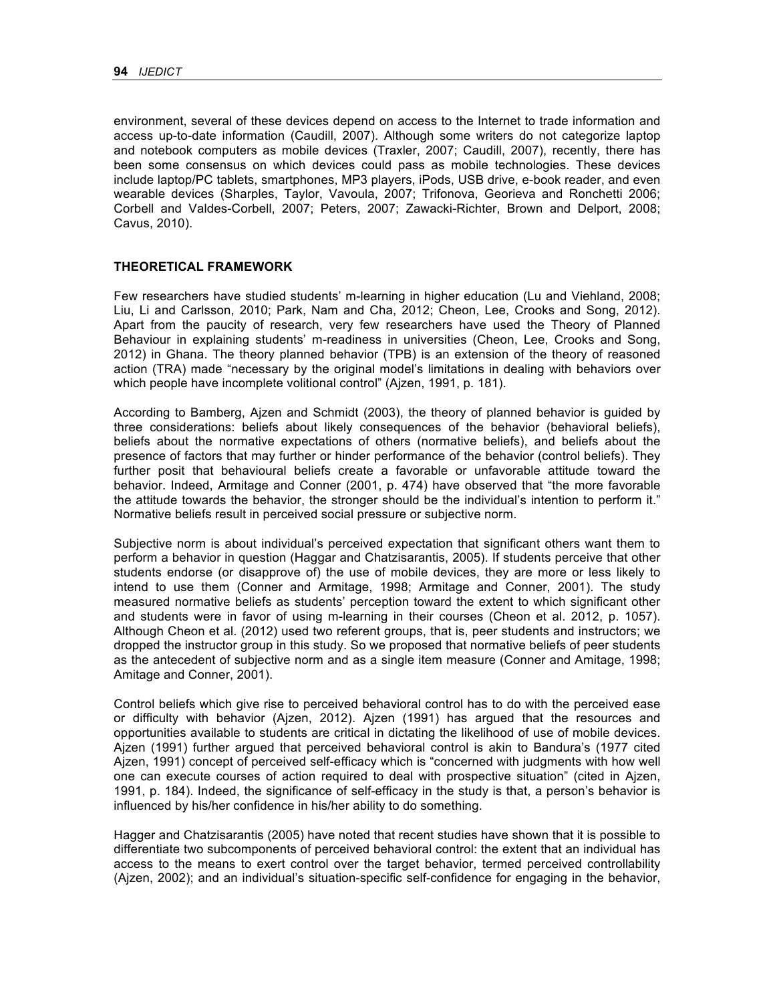environment, several of these devices depend on access to the Internet to trade information and access up-to-date information (Caudill, 2007). Although some writers do not categorize laptop and notebook computers as mobile devices (Traxler, 2007; Caudill, 2007), recently, there has been some consensus on which devices could pass as mobile technologies. These devices include laptop/PC tablets, smartphones, MP3 players, iPods, USB drive, e-book reader, and even wearable devices (Sharples, Taylor, Vavoula, 2007; Trifonova, Georieva and Ronchetti 2006; Corbell and Valdes-Corbell, 2007; Peters, 2007; Zawacki-Richter, Brown and Delport, 2008; Cavus, 2010).

#### **THEORETICAL FRAMEWORK**

Few researchers have studied students' m-learning in higher education (Lu and Viehland, 2008; Liu, Li and Carlsson, 2010; Park, Nam and Cha, 2012; Cheon, Lee, Crooks and Song, 2012). Apart from the paucity of research, very few researchers have used the Theory of Planned Behaviour in explaining students' m-readiness in universities (Cheon, Lee, Crooks and Song, 2012) in Ghana. The theory planned behavior (TPB) is an extension of the theory of reasoned action (TRA) made "necessary by the original model's limitations in dealing with behaviors over which people have incomplete volitional control" (Ajzen, 1991, p. 181).

According to Bamberg, Ajzen and Schmidt (2003), the theory of planned behavior is guided by three considerations: beliefs about likely consequences of the behavior (behavioral beliefs), beliefs about the normative expectations of others (normative beliefs), and beliefs about the presence of factors that may further or hinder performance of the behavior (control beliefs). They further posit that behavioural beliefs create a favorable or unfavorable attitude toward the behavior. Indeed, Armitage and Conner (2001, p. 474) have observed that "the more favorable the attitude towards the behavior, the stronger should be the individual's intention to perform it." Normative beliefs result in perceived social pressure or subjective norm.

Subjective norm is about individual's perceived expectation that significant others want them to perform a behavior in question (Haggar and Chatzisarantis, 2005). If students perceive that other students endorse (or disapprove of) the use of mobile devices, they are more or less likely to intend to use them (Conner and Armitage, 1998; Armitage and Conner, 2001). The study measured normative beliefs as students' perception toward the extent to which significant other and students were in favor of using m-learning in their courses (Cheon et al. 2012, p. 1057). Although Cheon et al. (2012) used two referent groups, that is, peer students and instructors; we dropped the instructor group in this study. So we proposed that normative beliefs of peer students as the antecedent of subjective norm and as a single item measure (Conner and Amitage, 1998; Amitage and Conner, 2001).

Control beliefs which give rise to perceived behavioral control has to do with the perceived ease or difficulty with behavior (Ajzen, 2012). Ajzen (1991) has argued that the resources and opportunities available to students are critical in dictating the likelihood of use of mobile devices. Ajzen (1991) further argued that perceived behavioral control is akin to Bandura's (1977 cited Ajzen, 1991) concept of perceived self-efficacy which is "concerned with judgments with how well one can execute courses of action required to deal with prospective situation" (cited in Ajzen, 1991, p. 184). Indeed, the significance of self-efficacy in the study is that, a person's behavior is influenced by his/her confidence in his/her ability to do something.

Hagger and Chatzisarantis (2005) have noted that recent studies have shown that it is possible to differentiate two subcomponents of perceived behavioral control: the extent that an individual has access to the means to exert control over the target behavior, termed perceived controllability (Ajzen, 2002); and an individual's situation-specific self-confidence for engaging in the behavior,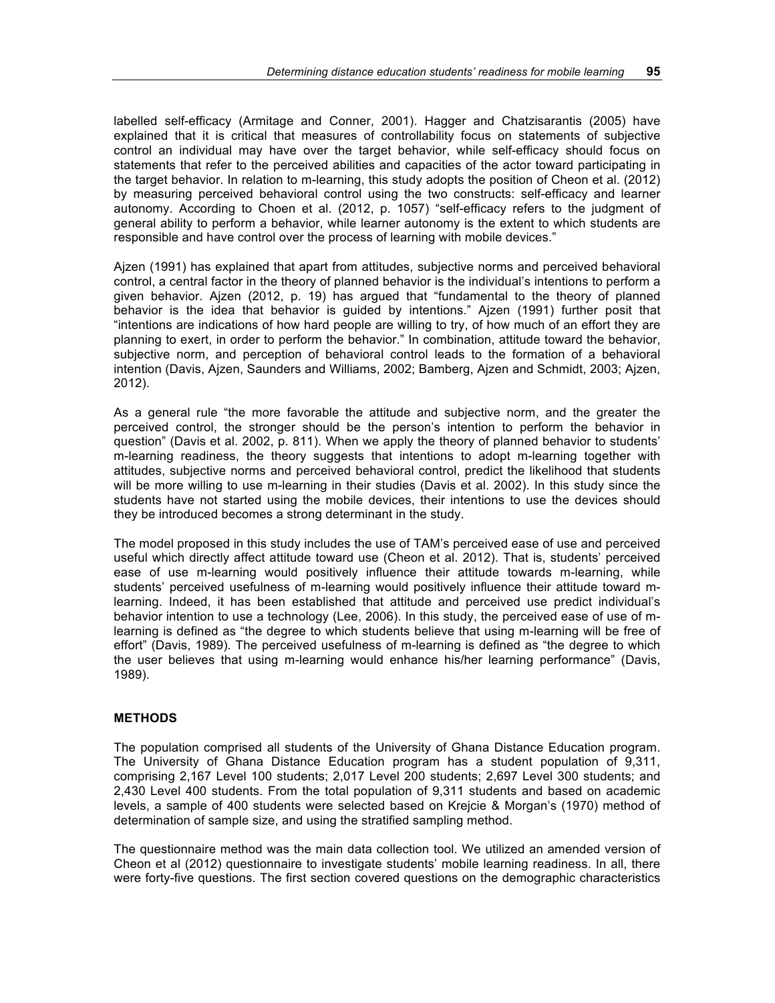labelled self-efficacy (Armitage and Conner, 2001). Hagger and Chatzisarantis (2005) have explained that it is critical that measures of controllability focus on statements of subjective control an individual may have over the target behavior, while self-efficacy should focus on statements that refer to the perceived abilities and capacities of the actor toward participating in the target behavior. In relation to m-learning, this study adopts the position of Cheon et al. (2012) by measuring perceived behavioral control using the two constructs: self-efficacy and learner autonomy. According to Choen et al. (2012, p. 1057) "self-efficacy refers to the judgment of general ability to perform a behavior, while learner autonomy is the extent to which students are responsible and have control over the process of learning with mobile devices."

Ajzen (1991) has explained that apart from attitudes, subjective norms and perceived behavioral control, a central factor in the theory of planned behavior is the individual's intentions to perform a given behavior. Ajzen (2012, p. 19) has argued that "fundamental to the theory of planned behavior is the idea that behavior is guided by intentions." Ajzen (1991) further posit that "intentions are indications of how hard people are willing to try, of how much of an effort they are planning to exert, in order to perform the behavior." In combination, attitude toward the behavior, subjective norm, and perception of behavioral control leads to the formation of a behavioral intention (Davis, Ajzen, Saunders and Williams, 2002; Bamberg, Ajzen and Schmidt, 2003; Ajzen, 2012).

As a general rule "the more favorable the attitude and subjective norm, and the greater the perceived control, the stronger should be the person's intention to perform the behavior in question" (Davis et al. 2002, p. 811). When we apply the theory of planned behavior to students' m-learning readiness, the theory suggests that intentions to adopt m-learning together with attitudes, subjective norms and perceived behavioral control, predict the likelihood that students will be more willing to use m-learning in their studies (Davis et al. 2002). In this study since the students have not started using the mobile devices, their intentions to use the devices should they be introduced becomes a strong determinant in the study.

The model proposed in this study includes the use of TAM's perceived ease of use and perceived useful which directly affect attitude toward use (Cheon et al. 2012). That is, students' perceived ease of use m-learning would positively influence their attitude towards m-learning, while students' perceived usefulness of m-learning would positively influence their attitude toward mlearning. Indeed, it has been established that attitude and perceived use predict individual's behavior intention to use a technology (Lee, 2006). In this study, the perceived ease of use of mlearning is defined as "the degree to which students believe that using m-learning will be free of effort" (Davis, 1989). The perceived usefulness of m-learning is defined as "the degree to which the user believes that using m-learning would enhance his/her learning performance" (Davis, 1989).

## **METHODS**

The population comprised all students of the University of Ghana Distance Education program. The University of Ghana Distance Education program has a student population of 9,311, comprising 2,167 Level 100 students; 2,017 Level 200 students; 2,697 Level 300 students; and 2,430 Level 400 students. From the total population of 9,311 students and based on academic levels, a sample of 400 students were selected based on Krejcie & Morgan's (1970) method of determination of sample size, and using the stratified sampling method.

The questionnaire method was the main data collection tool. We utilized an amended version of Cheon et al (2012) questionnaire to investigate students' mobile learning readiness. In all, there were forty-five questions. The first section covered questions on the demographic characteristics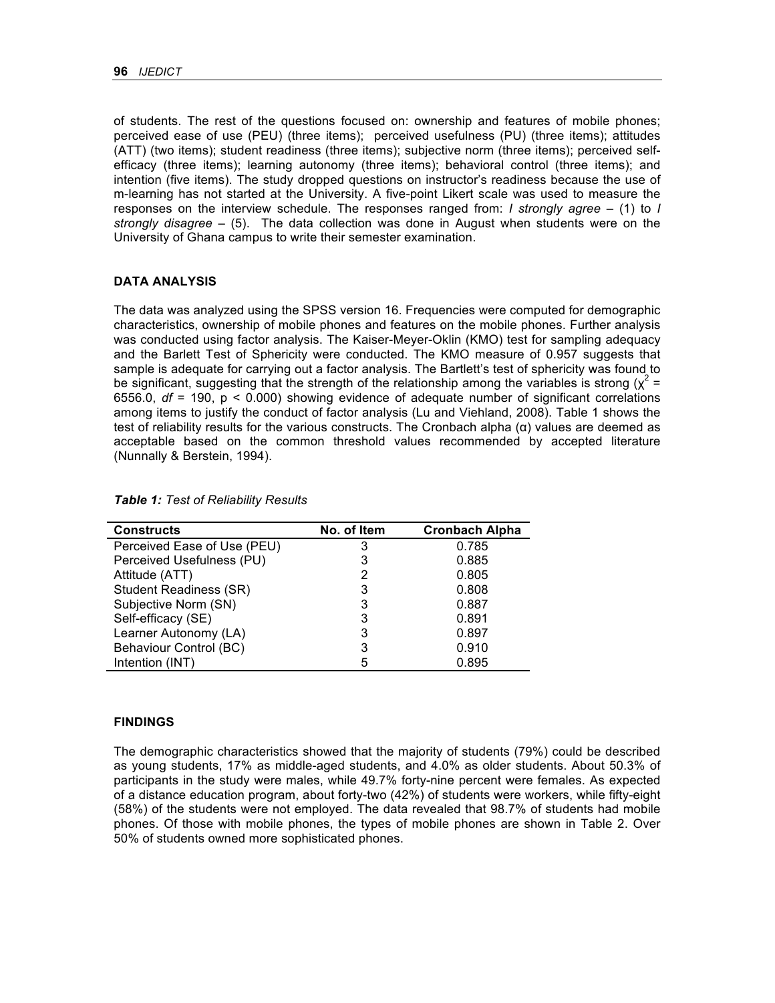of students. The rest of the questions focused on: ownership and features of mobile phones; perceived ease of use (PEU) (three items); perceived usefulness (PU) (three items); attitudes (ATT) (two items); student readiness (three items); subjective norm (three items); perceived selfefficacy (three items); learning autonomy (three items); behavioral control (three items); and intention (five items). The study dropped questions on instructor's readiness because the use of m-learning has not started at the University. A five-point Likert scale was used to measure the responses on the interview schedule. The responses ranged from: *I strongly agree* – (1) to *I strongly disagree* – (5). The data collection was done in August when students were on the University of Ghana campus to write their semester examination.

#### **DATA ANALYSIS**

The data was analyzed using the SPSS version 16. Frequencies were computed for demographic characteristics, ownership of mobile phones and features on the mobile phones. Further analysis was conducted using factor analysis. The Kaiser-Meyer-Oklin (KMO) test for sampling adequacy and the Barlett Test of Sphericity were conducted. The KMO measure of 0.957 suggests that sample is adequate for carrying out a factor analysis. The Bartlett's test of sphericity was found to be significant, suggesting that the strength of the relationship among the variables is strong ( $\chi^2$  = 6556.0, *df* = 190, p < 0.000) showing evidence of adequate number of significant correlations among items to justify the conduct of factor analysis (Lu and Viehland, 2008). Table 1 shows the test of reliability results for the various constructs. The Cronbach alpha (α) values are deemed as acceptable based on the common threshold values recommended by accepted literature (Nunnally & Berstein, 1994).

| <b>Constructs</b>             | No. of Item | <b>Cronbach Alpha</b> |
|-------------------------------|-------------|-----------------------|
| Perceived Ease of Use (PEU)   | 3           | 0.785                 |
| Perceived Usefulness (PU)     | 3           | 0.885                 |
| Attitude (ATT)                | 2           | 0.805                 |
| <b>Student Readiness (SR)</b> | 3           | 0.808                 |
| Subjective Norm (SN)          | 3           | 0.887                 |
| Self-efficacy (SE)            | 3           | 0.891                 |
| Learner Autonomy (LA)         | 3           | 0.897                 |
| Behaviour Control (BC)        | 3           | 0.910                 |
| Intention (INT)               | 5           | 0.895                 |

*Table 1: Test of Reliability Results*

#### **FINDINGS**

The demographic characteristics showed that the majority of students (79%) could be described as young students, 17% as middle-aged students, and 4.0% as older students. About 50.3% of participants in the study were males, while 49.7% forty-nine percent were females. As expected of a distance education program, about forty-two (42%) of students were workers, while fifty-eight (58%) of the students were not employed. The data revealed that 98.7% of students had mobile phones. Of those with mobile phones, the types of mobile phones are shown in Table 2. Over 50% of students owned more sophisticated phones.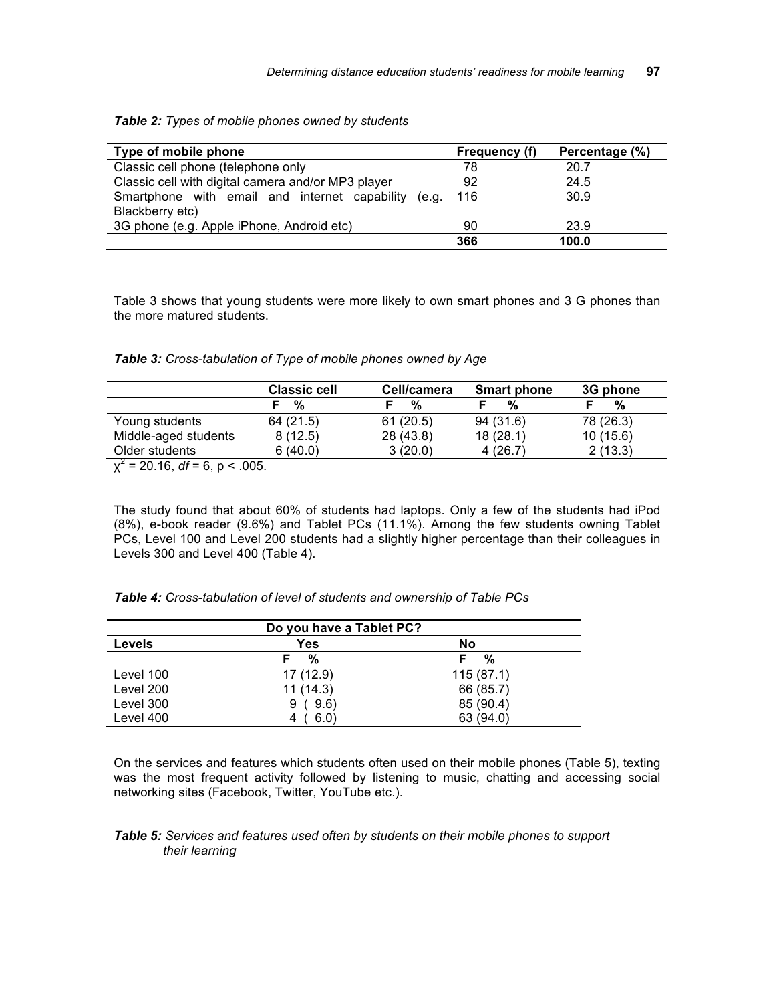|  |  |  |  |  |  | Table 2: Types of mobile phones owned by students |
|--|--|--|--|--|--|---------------------------------------------------|
|--|--|--|--|--|--|---------------------------------------------------|

| Type of mobile phone                                   | Frequency (f) | Percentage (%) |
|--------------------------------------------------------|---------------|----------------|
| Classic cell phone (telephone only                     | 78            | 20.7           |
| Classic cell with digital camera and/or MP3 player     | 92            | 24.5           |
| Smartphone with email and internet capability<br>(e.a. | 116           | 30.9           |
| Blackberry etc)                                        |               |                |
| 3G phone (e.g. Apple iPhone, Android etc)              | 90            | 23.9           |
|                                                        | 366           | 100.0          |

Table 3 shows that young students were more likely to own smart phones and 3 G phones than the more matured students.

| Table 3: Cross-tabulation of Type of mobile phones owned by Age |  |  |  |
|-----------------------------------------------------------------|--|--|--|
|-----------------------------------------------------------------|--|--|--|

|                                                                       | <b>Classic cell</b> | Cell/camera | <b>Smart phone</b> | 3G phone  |
|-----------------------------------------------------------------------|---------------------|-------------|--------------------|-----------|
|                                                                       | %                   | %           | %                  | %         |
| Young students                                                        | 64 (21.5)           | 61(20.5)    | 94 (31.6)          | 78 (26.3) |
| Middle-aged students                                                  | 8(12.5)             | 28 (43.8)   | 18(28.1)           | 10(15.6)  |
| Older students                                                        | 6(40.0)             | 3(20.0)     | 4(26.7)            | 2(13.3)   |
| $\frac{2}{3}$ - 00 40 $\frac{1}{2}$ - 0 $\frac{1}{2}$ 0 $\frac{1}{2}$ |                     |             |                    |           |

 $\chi^2$  = 20.16, *df* = 6, p < .005.

The study found that about 60% of students had laptops. Only a few of the students had iPod (8%), e-book reader (9.6%) and Tablet PCs (11.1%). Among the few students owning Tablet PCs, Level 100 and Level 200 students had a slightly higher percentage than their colleagues in Levels 300 and Level 400 (Table 4).

| <b>Table 4:</b> Cross-tabulation of level of students and ownership of Table PCs |  |  |
|----------------------------------------------------------------------------------|--|--|
|----------------------------------------------------------------------------------|--|--|

| Do you have a Tablet PC? |            |            |  |  |  |  |
|--------------------------|------------|------------|--|--|--|--|
| <b>Levels</b>            | Yes        | No         |  |  |  |  |
|                          | %          | %          |  |  |  |  |
| Level 100                | 17(12.9)   | 115 (87.1) |  |  |  |  |
| Level 200                | 11(14.3)   | 66 (85.7)  |  |  |  |  |
| Level 300                | (9.6)<br>9 | 85 (90.4)  |  |  |  |  |
| Level 400                | 6.0)       | 63 (94.0)  |  |  |  |  |

On the services and features which students often used on their mobile phones (Table 5), texting was the most frequent activity followed by listening to music, chatting and accessing social networking sites (Facebook, Twitter, YouTube etc.).

### *Table 5: Services and features used often by students on their mobile phones to support their learning*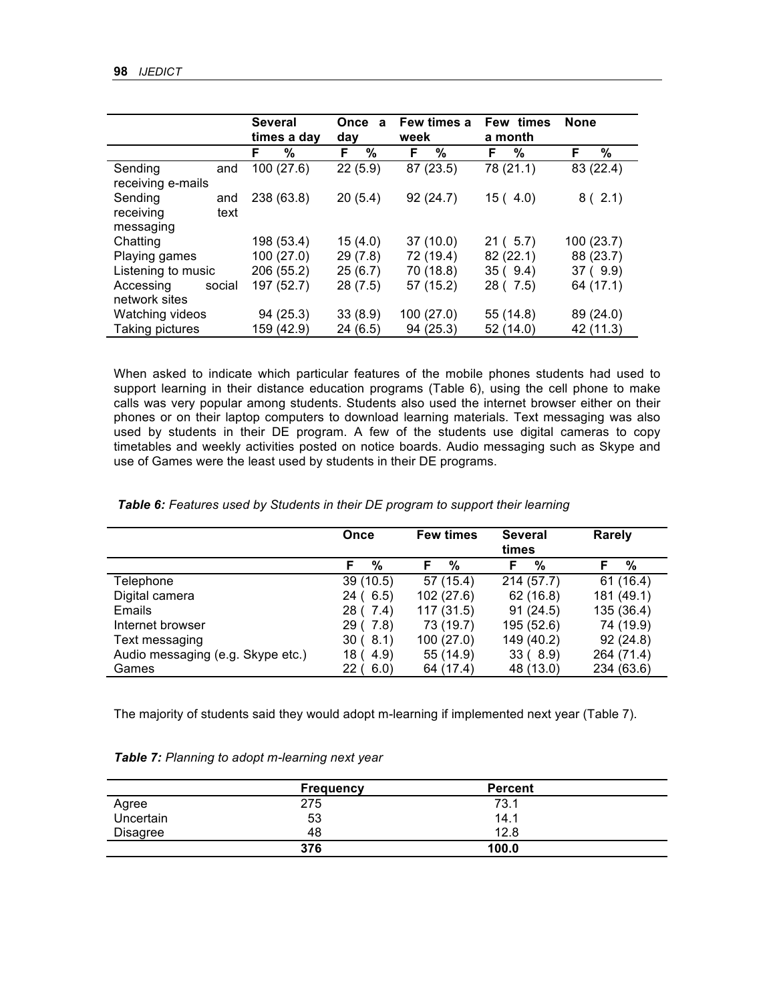|                    |        |    | <b>Several</b><br>times a day | Once<br>day | $\mathbf{a}$ | week | Few times a |    | Few times<br>a month | <b>None</b> |           |
|--------------------|--------|----|-------------------------------|-------------|--------------|------|-------------|----|----------------------|-------------|-----------|
|                    |        | F. | %                             | F.          | %            | F.   | %           | F. | %                    | F.          | %         |
| Sending            | and    |    | 100 (27.6)                    |             | 22(5.9)      |      | 87 (23.5)   |    | 78 (21.1)            |             | 83 (22.4) |
| receiving e-mails  |        |    |                               |             |              |      |             |    |                      |             |           |
| Sending            | and    |    | 238 (63.8)                    |             | 20(5.4)      |      | 92 (24.7)   |    | 15(4.0)              |             | 8(2.1)    |
| receiving          | text   |    |                               |             |              |      |             |    |                      |             |           |
| messaging          |        |    |                               |             |              |      |             |    |                      |             |           |
| Chatting           |        |    | 198 (53.4)                    |             | 15(4.0)      |      | 37(10.0)    |    | 21(.5.7)             |             | 100(23.7) |
| Playing games      |        |    | 100 (27.0)                    |             | 29(7.8)      |      | 72 (19.4)   |    | 82 (22.1)            |             | 88 (23.7) |
| Listening to music |        |    | 206 (55.2)                    |             | 25(6.7)      |      | 70 (18.8)   |    | 35(9.4)              |             | 37(9.9)   |
| Accessing          | social |    | 197 (52.7)                    |             | 28 (7.5)     |      | 57 (15.2)   |    | 28 (7.5)             |             | 64 (17.1) |
| network sites      |        |    |                               |             |              |      |             |    |                      |             |           |
| Watching videos    |        |    | 94 (25.3)                     |             | 33(8.9)      |      | 100 (27.0)  |    | 55 (14.8)            |             | 89 (24.0) |
| Taking pictures    |        |    | 159 (42.9)                    |             | 24 (6.5)     |      | 94 (25.3)   |    | 52 (14.0)            |             | 42 (11.3) |

When asked to indicate which particular features of the mobile phones students had used to support learning in their distance education programs (Table 6), using the cell phone to make calls was very popular among students. Students also used the internet browser either on their phones or on their laptop computers to download learning materials. Text messaging was also used by students in their DE program. A few of the students use digital cameras to copy timetables and weekly activities posted on notice boards. Audio messaging such as Skype and use of Games were the least used by students in their DE programs.

| Table 6: Features used by Students in their DE program to support their learning |  |  |  |
|----------------------------------------------------------------------------------|--|--|--|
|----------------------------------------------------------------------------------|--|--|--|

|                                   | Once                    | <b>Few times</b> | <b>Several</b><br>times | <b>Rarely</b> |
|-----------------------------------|-------------------------|------------------|-------------------------|---------------|
|                                   | F<br>%                  | %<br>F           | %<br>F                  | F<br>%        |
| Telephone                         | 39(10.5)                | 57 (15.4)        | 214(57.7)               | 61(16.4)      |
| Digital camera                    | 24 ( 6.5)               | 102 (27.6)       | 62(16.8)                | 181 (49.1)    |
| Emails                            | 28 ( 7.4)               | 117 (31.5)       | 91(24.5)                | 135 (36.4)    |
| Internet browser                  | 29 ( 7.8)               | 73 (19.7)        | 195 (52.6)              | 74 (19.9)     |
| Text messaging                    | 30(8.1)                 | 100 (27.0)       | 149 (40.2)              | 92(24.8)      |
| Audio messaging (e.g. Skype etc.) | 4.9)<br>18 <sub>0</sub> | 55 (14.9)        | 33(8.9)                 | 264 (71.4)    |
| Games                             | 6.0)<br>22 (            | 64 (17.4)        | 48 (13.0)               | 234 (63.6)    |

The majority of students said they would adopt m-learning if implemented next year (Table 7).

|  |  |  | Table 7: Planning to adopt m-learning next year |  |
|--|--|--|-------------------------------------------------|--|
|--|--|--|-------------------------------------------------|--|

|                 | <b>Frequency</b> | <b>Percent</b> |  |
|-----------------|------------------|----------------|--|
| Agree           | 275              | 73.1           |  |
| Uncertain       | 53               | 14.1           |  |
| <b>Disagree</b> | 48               | 12.8           |  |
|                 | 376              | 100.0          |  |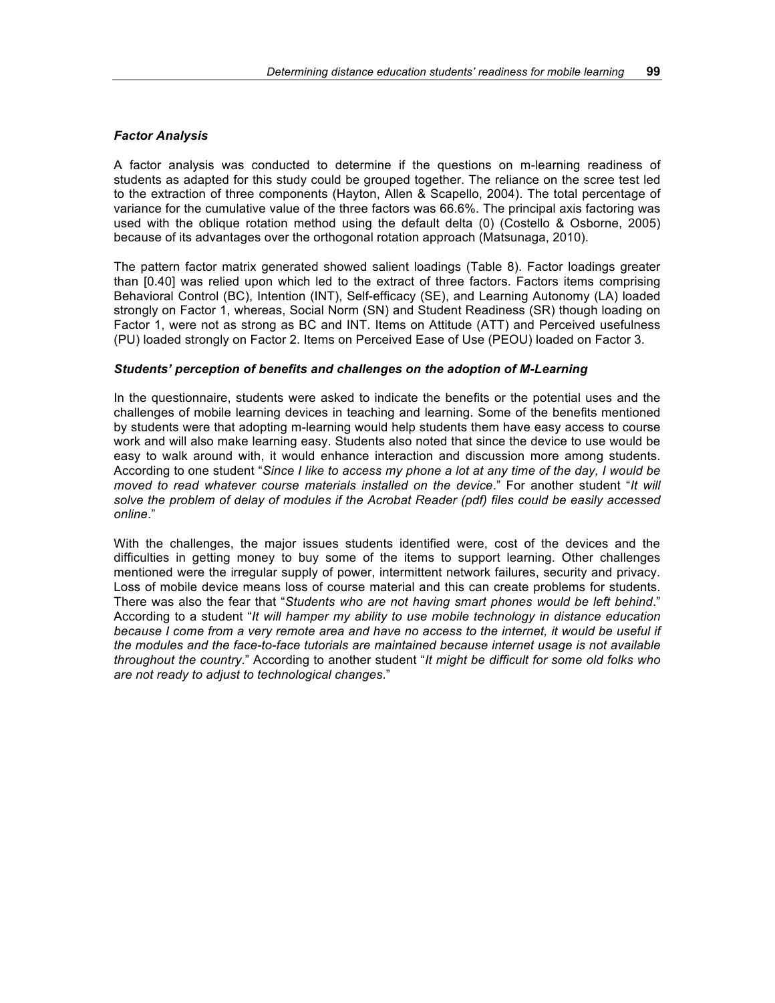## *Factor Analysis*

A factor analysis was conducted to determine if the questions on m-learning readiness of students as adapted for this study could be grouped together. The reliance on the scree test led to the extraction of three components (Hayton, Allen & Scapello, 2004). The total percentage of variance for the cumulative value of the three factors was 66.6%. The principal axis factoring was used with the oblique rotation method using the default delta (0) (Costello & Osborne, 2005) because of its advantages over the orthogonal rotation approach (Matsunaga, 2010).

The pattern factor matrix generated showed salient loadings (Table 8). Factor loadings greater than [0.40] was relied upon which led to the extract of three factors. Factors items comprising Behavioral Control (BC), Intention (INT), Self-efficacy (SE), and Learning Autonomy (LA) loaded strongly on Factor 1, whereas, Social Norm (SN) and Student Readiness (SR) though loading on Factor 1, were not as strong as BC and INT. Items on Attitude (ATT) and Perceived usefulness (PU) loaded strongly on Factor 2. Items on Perceived Ease of Use (PEOU) loaded on Factor 3.

## *Students' perception of benefits and challenges on the adoption of M-Learning*

In the questionnaire, students were asked to indicate the benefits or the potential uses and the challenges of mobile learning devices in teaching and learning. Some of the benefits mentioned by students were that adopting m-learning would help students them have easy access to course work and will also make learning easy. Students also noted that since the device to use would be easy to walk around with, it would enhance interaction and discussion more among students. According to one student "*Since I like to access my phone a lot at any time of the day, I would be moved to read whatever course materials installed on the device*." For another student "*It will solve the problem of delay of modules if the Acrobat Reader (pdf) files could be easily accessed online*."

With the challenges, the major issues students identified were, cost of the devices and the difficulties in getting money to buy some of the items to support learning. Other challenges mentioned were the irregular supply of power, intermittent network failures, security and privacy. Loss of mobile device means loss of course material and this can create problems for students. There was also the fear that "*Students who are not having smart phones would be left behind*." According to a student "*It will hamper my ability to use mobile technology in distance education*  because I come from a very remote area and have no access to the internet, it would be useful if *the modules and the face-to-face tutorials are maintained because internet usage is not available throughout the country*." According to another student "*It might be difficult for some old folks who are not ready to adjust to technological changes*."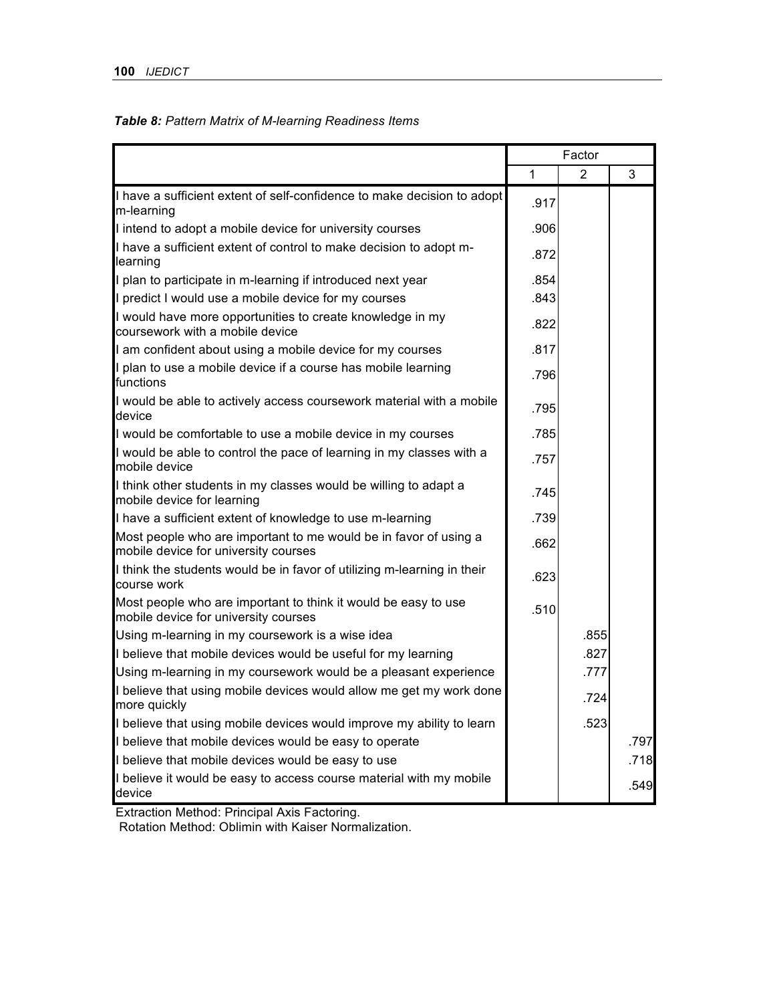# *Table 8: Pattern Matrix of M-learning Readiness Items*

|                                                                                                          | Factor |      |      |
|----------------------------------------------------------------------------------------------------------|--------|------|------|
|                                                                                                          | 1      | 2    | 3    |
| I have a sufficient extent of self-confidence to make decision to adopt<br>m-learning                    | .917   |      |      |
| I intend to adopt a mobile device for university courses                                                 | .906   |      |      |
| I have a sufficient extent of control to make decision to adopt m-<br>learning                           | .872   |      |      |
| I plan to participate in m-learning if introduced next year                                              | .854   |      |      |
| I predict I would use a mobile device for my courses                                                     | .843   |      |      |
| I would have more opportunities to create knowledge in my<br>coursework with a mobile device             | .822   |      |      |
| I am confident about using a mobile device for my courses                                                | .817   |      |      |
| I plan to use a mobile device if a course has mobile learning<br>functions                               | .796   |      |      |
| I would be able to actively access coursework material with a mobile<br>device                           | .795   |      |      |
| I would be comfortable to use a mobile device in my courses                                              | .785   |      |      |
| I would be able to control the pace of learning in my classes with a<br>mobile device                    | .757   |      |      |
| I think other students in my classes would be willing to adapt a<br>mobile device for learning           | .745   |      |      |
| I have a sufficient extent of knowledge to use m-learning                                                | .739   |      |      |
| Most people who are important to me would be in favor of using a<br>mobile device for university courses | .662   |      |      |
| I think the students would be in favor of utilizing m-learning in their<br>course work                   | .623   |      |      |
| Most people who are important to think it would be easy to use<br>mobile device for university courses   | .510   |      |      |
| Using m-learning in my coursework is a wise idea                                                         |        | .855 |      |
| I believe that mobile devices would be useful for my learning                                            |        | .827 |      |
| Using m-learning in my coursework would be a pleasant experience                                         |        | .777 |      |
| I believe that using mobile devices would allow me get my work done<br>more quickly                      |        | .724 |      |
| I believe that using mobile devices would improve my ability to learn                                    |        | .523 |      |
| I believe that mobile devices would be easy to operate                                                   |        |      | .797 |
| I believe that mobile devices would be easy to use                                                       |        |      | .718 |
| I believe it would be easy to access course material with my mobile<br>device                            |        |      | .549 |

Extraction Method: Principal Axis Factoring.

Rotation Method: Oblimin with Kaiser Normalization.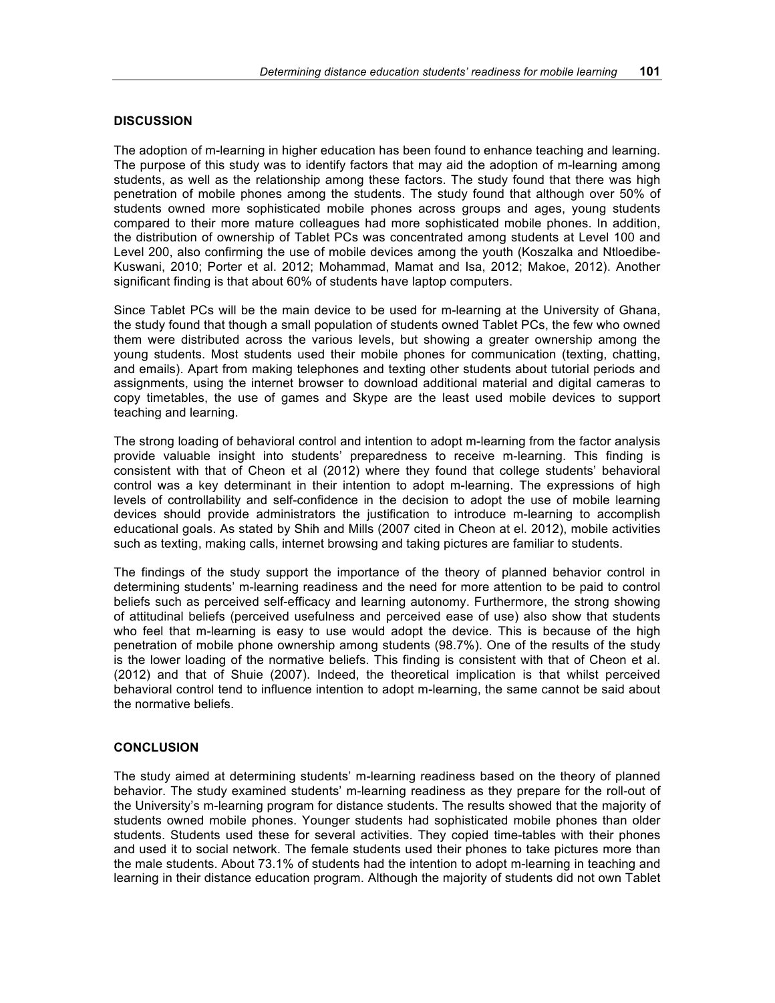#### **DISCUSSION**

The adoption of m-learning in higher education has been found to enhance teaching and learning. The purpose of this study was to identify factors that may aid the adoption of m-learning among students, as well as the relationship among these factors. The study found that there was high penetration of mobile phones among the students. The study found that although over 50% of students owned more sophisticated mobile phones across groups and ages, young students compared to their more mature colleagues had more sophisticated mobile phones. In addition, the distribution of ownership of Tablet PCs was concentrated among students at Level 100 and Level 200, also confirming the use of mobile devices among the youth (Koszalka and Ntloedibe-Kuswani, 2010; Porter et al. 2012; Mohammad, Mamat and Isa, 2012; Makoe, 2012). Another significant finding is that about 60% of students have laptop computers.

Since Tablet PCs will be the main device to be used for m-learning at the University of Ghana, the study found that though a small population of students owned Tablet PCs, the few who owned them were distributed across the various levels, but showing a greater ownership among the young students. Most students used their mobile phones for communication (texting, chatting, and emails). Apart from making telephones and texting other students about tutorial periods and assignments, using the internet browser to download additional material and digital cameras to copy timetables, the use of games and Skype are the least used mobile devices to support teaching and learning.

The strong loading of behavioral control and intention to adopt m-learning from the factor analysis provide valuable insight into students' preparedness to receive m-learning. This finding is consistent with that of Cheon et al (2012) where they found that college students' behavioral control was a key determinant in their intention to adopt m-learning. The expressions of high levels of controllability and self-confidence in the decision to adopt the use of mobile learning devices should provide administrators the justification to introduce m-learning to accomplish educational goals. As stated by Shih and Mills (2007 cited in Cheon at el. 2012), mobile activities such as texting, making calls, internet browsing and taking pictures are familiar to students.

The findings of the study support the importance of the theory of planned behavior control in determining students' m-learning readiness and the need for more attention to be paid to control beliefs such as perceived self-efficacy and learning autonomy. Furthermore, the strong showing of attitudinal beliefs (perceived usefulness and perceived ease of use) also show that students who feel that m-learning is easy to use would adopt the device. This is because of the high penetration of mobile phone ownership among students (98.7%). One of the results of the study is the lower loading of the normative beliefs. This finding is consistent with that of Cheon et al. (2012) and that of Shuie (2007). Indeed, the theoretical implication is that whilst perceived behavioral control tend to influence intention to adopt m-learning, the same cannot be said about the normative beliefs.

#### **CONCLUSION**

The study aimed at determining students' m-learning readiness based on the theory of planned behavior. The study examined students' m-learning readiness as they prepare for the roll-out of the University's m-learning program for distance students. The results showed that the majority of students owned mobile phones. Younger students had sophisticated mobile phones than older students. Students used these for several activities. They copied time-tables with their phones and used it to social network. The female students used their phones to take pictures more than the male students. About 73.1% of students had the intention to adopt m-learning in teaching and learning in their distance education program. Although the majority of students did not own Tablet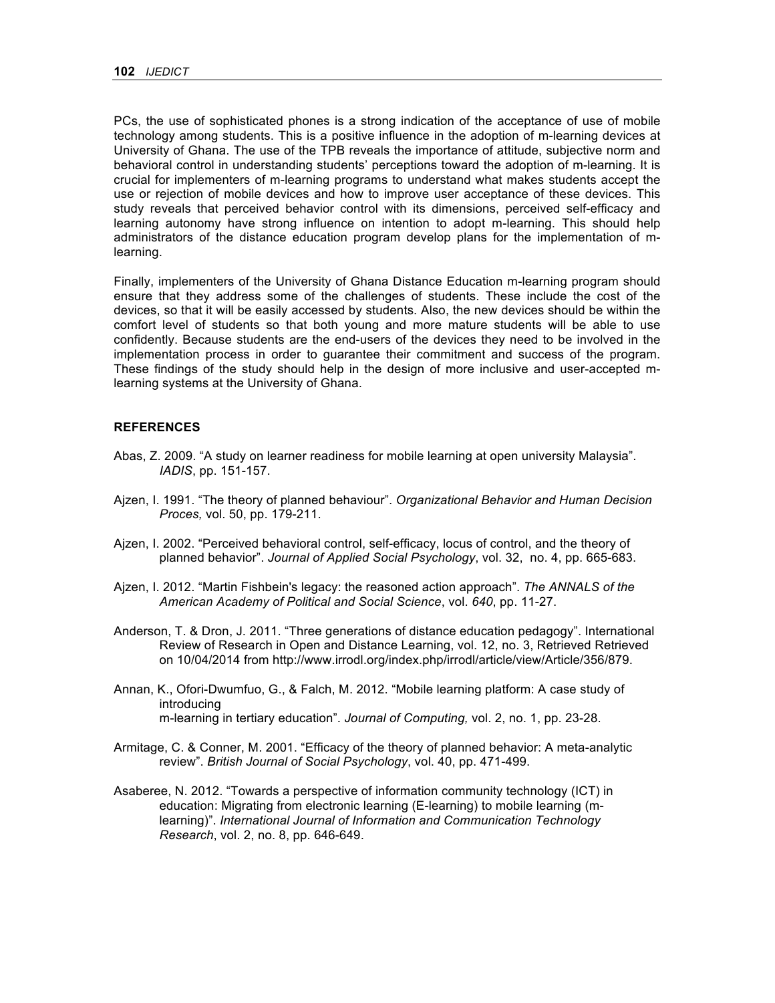PCs, the use of sophisticated phones is a strong indication of the acceptance of use of mobile technology among students. This is a positive influence in the adoption of m-learning devices at University of Ghana. The use of the TPB reveals the importance of attitude, subjective norm and behavioral control in understanding students' perceptions toward the adoption of m-learning. It is crucial for implementers of m-learning programs to understand what makes students accept the use or rejection of mobile devices and how to improve user acceptance of these devices. This study reveals that perceived behavior control with its dimensions, perceived self-efficacy and learning autonomy have strong influence on intention to adopt m-learning. This should help administrators of the distance education program develop plans for the implementation of mlearning.

Finally, implementers of the University of Ghana Distance Education m-learning program should ensure that they address some of the challenges of students. These include the cost of the devices, so that it will be easily accessed by students. Also, the new devices should be within the comfort level of students so that both young and more mature students will be able to use confidently. Because students are the end-users of the devices they need to be involved in the implementation process in order to guarantee their commitment and success of the program. These findings of the study should help in the design of more inclusive and user-accepted mlearning systems at the University of Ghana.

#### **REFERENCES**

- Abas, Z. 2009. "A study on learner readiness for mobile learning at open university Malaysia". *IADIS*, pp. 151-157.
- Ajzen, I. 1991. "The theory of planned behaviour". *Organizational Behavior and Human Decision Proces,* vol. 50, pp. 179-211.
- Ajzen, I. 2002. "Perceived behavioral control, self-efficacy, locus of control, and the theory of planned behavior". *Journal of Applied Social Psychology*, vol. 32, no. 4, pp. 665-683.
- Ajzen, I. 2012. "Martin Fishbein's legacy: the reasoned action approach". *The ANNALS of the American Academy of Political and Social Science*, vol. *640*, pp. 11-27.
- Anderson, T. & Dron, J. 2011. "Three generations of distance education pedagogy". International Review of Research in Open and Distance Learning, vol. 12, no. 3, Retrieved Retrieved on 10/04/2014 from http://www.irrodl.org/index.php/irrodl/article/view/Article/356/879.
- Annan, K., Ofori-Dwumfuo, G., & Falch, M. 2012. "Mobile learning platform: A case study of introducing m-learning in tertiary education". *Journal of Computing,* vol. 2, no. 1, pp. 23-28.
- Armitage, C. & Conner, M. 2001. "Efficacy of the theory of planned behavior: A meta-analytic review". *British Journal of Social Psychology*, vol. 40, pp. 471-499.
- Asaberee, N. 2012. "Towards a perspective of information community technology (ICT) in education: Migrating from electronic learning (E-learning) to mobile learning (mlearning)". *International Journal of Information and Communication Technology Research*, vol. 2, no. 8, pp. 646-649.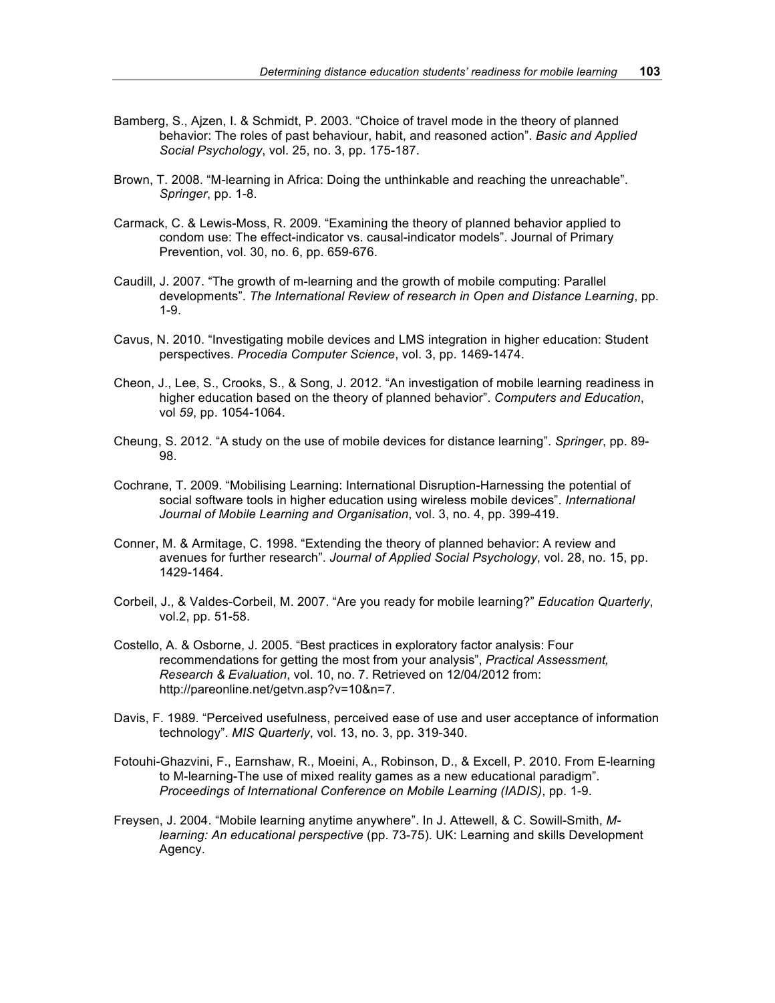- Bamberg, S., Ajzen, I. & Schmidt, P. 2003. "Choice of travel mode in the theory of planned behavior: The roles of past behaviour, habit, and reasoned action". *Basic and Applied Social Psychology*, vol. 25, no. 3, pp. 175-187.
- Brown, T. 2008. "M-learning in Africa: Doing the unthinkable and reaching the unreachable". *Springer*, pp. 1-8.
- Carmack, C. & Lewis-Moss, R. 2009. "Examining the theory of planned behavior applied to condom use: The effect-indicator vs. causal-indicator models". Journal of Primary Prevention, vol. 30, no. 6, pp. 659-676.
- Caudill, J. 2007. "The growth of m-learning and the growth of mobile computing: Parallel developments". *The International Review of research in Open and Distance Learning*, pp. 1-9.
- Cavus, N. 2010. "Investigating mobile devices and LMS integration in higher education: Student perspectives. *Procedia Computer Science*, vol. 3, pp. 1469-1474.
- Cheon, J., Lee, S., Crooks, S., & Song, J. 2012. "An investigation of mobile learning readiness in higher education based on the theory of planned behavior". *Computers and Education*, vol *59*, pp. 1054-1064.
- Cheung, S. 2012. "A study on the use of mobile devices for distance learning". *Springer*, pp. 89- 98.
- Cochrane, T. 2009. "Mobilising Learning: International Disruption-Harnessing the potential of social software tools in higher education using wireless mobile devices". *International Journal of Mobile Learning and Organisation*, vol. 3, no. 4, pp. 399-419.
- Conner, M. & Armitage, C. 1998. "Extending the theory of planned behavior: A review and avenues for further research". *Journal of Applied Social Psychology*, vol. 28, no. 15, pp. 1429-1464.
- Corbeil, J., & Valdes-Corbeil, M. 2007. "Are you ready for mobile learning?" *Education Quarterly*, vol.2, pp. 51-58.
- Costello, A. & Osborne, J. 2005. "Best practices in exploratory factor analysis: Four recommendations for getting the most from your analysis", *Practical Assessment, Research & Evaluation*, vol. 10, no. 7. Retrieved on 12/04/2012 from: http://pareonline.net/getvn.asp?v=10&n=7.
- Davis, F. 1989. "Perceived usefulness, perceived ease of use and user acceptance of information technology". *MIS Quarterly*, vol. 13, no. 3, pp. 319-340.
- Fotouhi-Ghazvini, F., Earnshaw, R., Moeini, A., Robinson, D., & Excell, P. 2010. From E-learning to M-learning-The use of mixed reality games as a new educational paradigm". *Proceedings of International Conference on Mobile Learning (IADIS)*, pp. 1-9.
- Freysen, J. 2004. "Mobile learning anytime anywhere". In J. Attewell, & C. Sowill-Smith, *Mlearning: An educational perspective* (pp. 73-75). UK: Learning and skills Development Agency.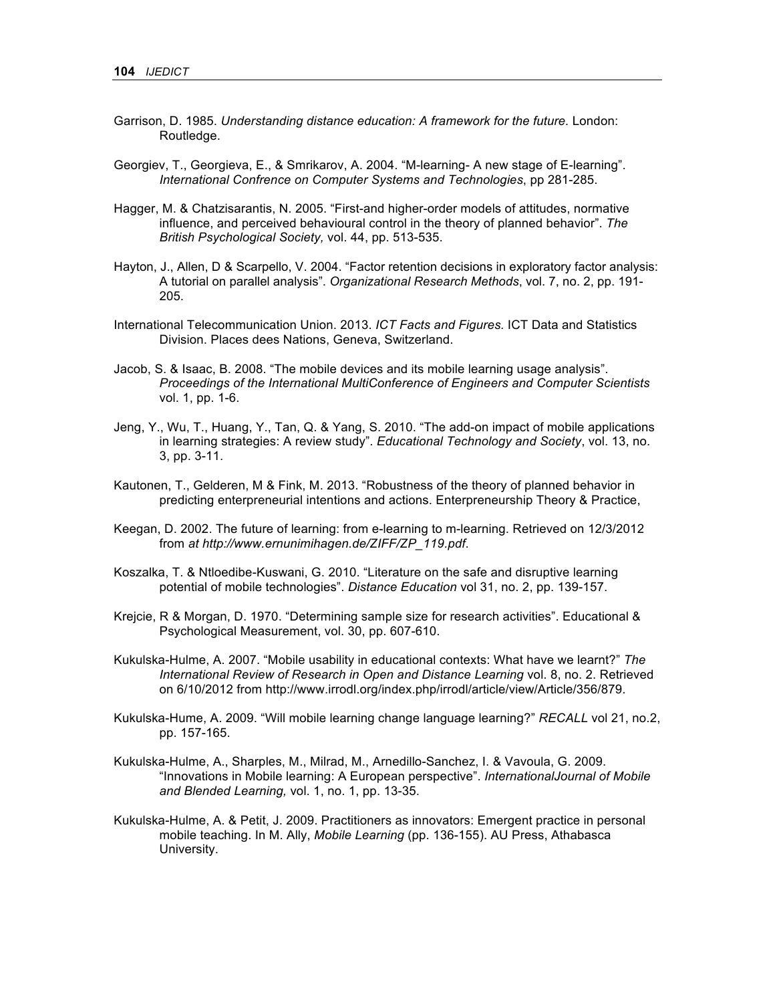- Garrison, D. 1985. *Understanding distance education: A framework for the future.* London: Routledge.
- Georgiev, T., Georgieva, E., & Smrikarov, A. 2004. "M-learning- A new stage of E-learning". *International Confrence on Computer Systems and Technologies*, pp 281-285.
- Hagger, M. & Chatzisarantis, N. 2005. "First-and higher-order models of attitudes, normative influence, and perceived behavioural control in the theory of planned behavior". *The British Psychological Society,* vol. 44, pp. 513-535.
- Hayton, J., Allen, D & Scarpello, V. 2004. "Factor retention decisions in exploratory factor analysis: A tutorial on parallel analysis". *Organizational Research Methods*, vol. 7, no. 2, pp. 191- 205.
- International Telecommunication Union. 2013. *ICT Facts and Figures.* ICT Data and Statistics Division. Places dees Nations, Geneva, Switzerland.
- Jacob, S. & Isaac, B. 2008. "The mobile devices and its mobile learning usage analysis". *Proceedings of the International MultiConference of Engineers and Computer Scientists*  vol. 1, pp. 1-6.
- Jeng, Y., Wu, T., Huang, Y., Tan, Q. & Yang, S. 2010. "The add-on impact of mobile applications in learning strategies: A review study". *Educational Technology and Society*, vol. 13, no. 3, pp. 3-11.
- Kautonen, T., Gelderen, M & Fink, M. 2013. "Robustness of the theory of planned behavior in predicting enterpreneurial intentions and actions. Enterpreneurship Theory & Practice,
- Keegan, D. 2002. The future of learning: from e-learning to m-learning. Retrieved on 12/3/2012 from *at http://www.ernunimihagen.de/ZIFF/ZP\_119.pdf*.
- Koszalka, T. & Ntloedibe-Kuswani, G. 2010. "Literature on the safe and disruptive learning potential of mobile technologies". *Distance Education* vol 31, no. 2, pp. 139-157.
- Krejcie, R & Morgan, D. 1970. "Determining sample size for research activities". Educational & Psychological Measurement, vol. 30, pp. 607-610.
- Kukulska-Hulme, A. 2007. "Mobile usability in educational contexts: What have we learnt?" *The International Review of Research in Open and Distance Learning* vol. 8, no. 2. Retrieved on 6/10/2012 from http://www.irrodl.org/index.php/irrodl/article/view/Article/356/879.
- Kukulska-Hume, A. 2009. "Will mobile learning change language learning?" *RECALL* vol 21, no.2, pp. 157-165.
- Kukulska-Hulme, A., Sharples, M., Milrad, M., Arnedillo-Sanchez, I. & Vavoula, G. 2009. "Innovations in Mobile learning: A European perspective". *InternationalJournal of Mobile and Blended Learning,* vol. 1, no. 1, pp. 13-35.
- Kukulska-Hulme, A. & Petit, J. 2009. Practitioners as innovators: Emergent practice in personal mobile teaching. In M. Ally, *Mobile Learning* (pp. 136-155). AU Press, Athabasca University.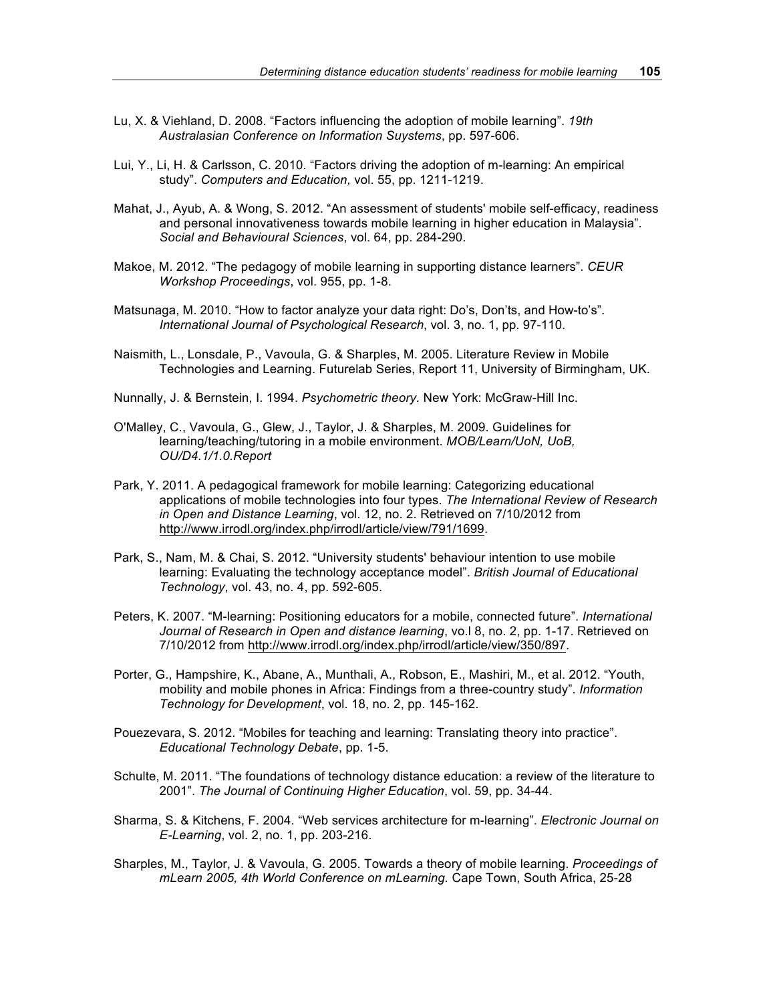- Lu, X. & Viehland, D. 2008. "Factors influencing the adoption of mobile learning". *19th Australasian Conference on Information Suystems*, pp. 597-606.
- Lui, Y., Li, H. & Carlsson, C. 2010. "Factors driving the adoption of m-learning: An empirical study". *Computers and Education,* vol. 55, pp. 1211-1219.
- Mahat, J., Ayub, A. & Wong, S. 2012. "An assessment of students' mobile self-efficacy, readiness and personal innovativeness towards mobile learning in higher education in Malaysia". *Social and Behavioural Sciences*, vol. 64, pp. 284-290.
- Makoe, M. 2012. "The pedagogy of mobile learning in supporting distance learners". *CEUR Workshop Proceedings*, vol. 955, pp. 1-8.
- Matsunaga, M. 2010. "How to factor analyze your data right: Do's, Don'ts, and How-to's". *International Journal of Psychological Research*, vol. 3, no. 1, pp. 97-110.
- Naismith, L., Lonsdale, P., Vavoula, G. & Sharples, M. 2005. Literature Review in Mobile Technologies and Learning. Futurelab Series, Report 11, University of Birmingham, UK.
- Nunnally, J. & Bernstein, I. 1994. *Psychometric theory.* New York: McGraw-Hill Inc.
- O'Malley, C., Vavoula, G., Glew, J., Taylor, J. & Sharples, M. 2009. Guidelines for learning/teaching/tutoring in a mobile environment. *MOB/Learn/UoN, UoB, OU/D4.1/1.0.Report*
- Park, Y. 2011. A pedagogical framework for mobile learning: Categorizing educational applications of mobile technologies into four types. *The International Review of Research in Open and Distance Learning*, vol. 12, no. 2. Retrieved on 7/10/2012 from http://www.irrodl.org/index.php/irrodl/article/view/791/1699.
- Park, S., Nam, M. & Chai, S. 2012. "University students' behaviour intention to use mobile learning: Evaluating the technology acceptance model". *British Journal of Educational Technology*, vol. 43, no. 4, pp. 592-605.
- Peters, K. 2007. "M-learning: Positioning educators for a mobile, connected future". *International Journal of Research in Open and distance learning*, vo.l 8, no. 2, pp. 1-17. Retrieved on 7/10/2012 from http://www.irrodl.org/index.php/irrodl/article/view/350/897.
- Porter, G., Hampshire, K., Abane, A., Munthali, A., Robson, E., Mashiri, M., et al. 2012. "Youth, mobility and mobile phones in Africa: Findings from a three-country study". *Information Technology for Development*, vol. 18, no. 2, pp. 145-162.
- Pouezevara, S. 2012. "Mobiles for teaching and learning: Translating theory into practice". *Educational Technology Debate*, pp. 1-5.
- Schulte, M. 2011. "The foundations of technology distance education: a review of the literature to 2001". *The Journal of Continuing Higher Education*, vol. 59, pp. 34-44.
- Sharma, S. & Kitchens, F. 2004. "Web services architecture for m-learning". *Electronic Journal on E-Learning*, vol. 2, no. 1, pp. 203-216.
- Sharples, M., Taylor, J. & Vavoula, G. 2005. Towards a theory of mobile learning. *Proceedings of mLearn 2005, 4th World Conference on mLearning.* Cape Town, South Africa, 25-28